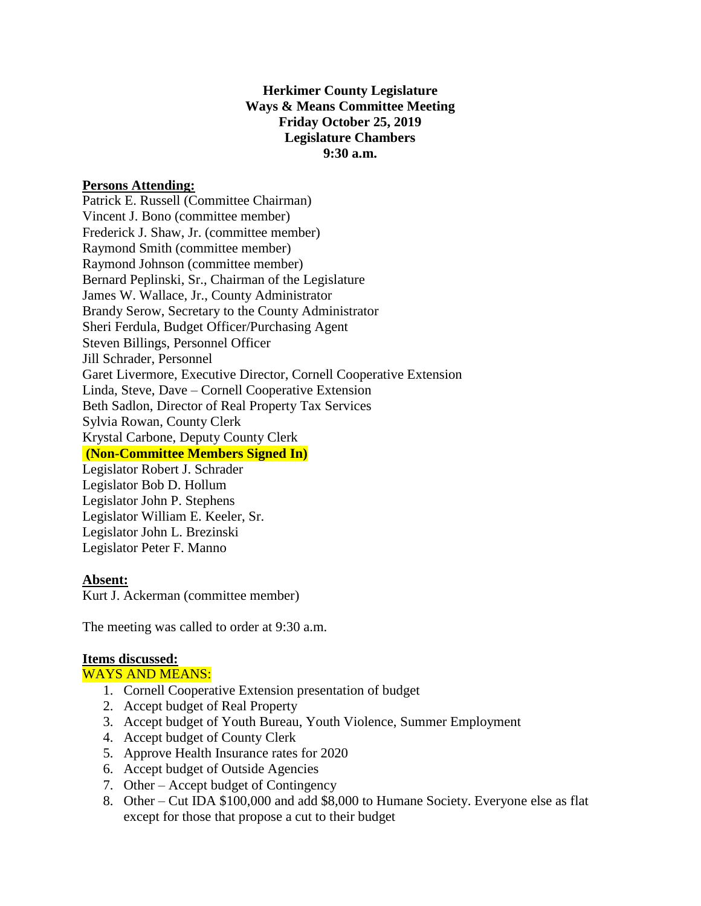# **Herkimer County Legislature Ways & Means Committee Meeting Friday October 25, 2019 Legislature Chambers 9:30 a.m.**

## **Persons Attending:**

Patrick E. Russell (Committee Chairman) Vincent J. Bono (committee member) Frederick J. Shaw, Jr. (committee member) Raymond Smith (committee member) Raymond Johnson (committee member) Bernard Peplinski, Sr., Chairman of the Legislature James W. Wallace, Jr., County Administrator Brandy Serow, Secretary to the County Administrator Sheri Ferdula, Budget Officer/Purchasing Agent Steven Billings, Personnel Officer Jill Schrader, Personnel Garet Livermore, Executive Director, Cornell Cooperative Extension Linda, Steve, Dave – Cornell Cooperative Extension Beth Sadlon, Director of Real Property Tax Services Sylvia Rowan, County Clerk Krystal Carbone, Deputy County Clerk **(Non-Committee Members Signed In)** Legislator Robert J. Schrader Legislator Bob D. Hollum Legislator John P. Stephens

Legislator William E. Keeler, Sr. Legislator John L. Brezinski Legislator Peter F. Manno

## **Absent:**

Kurt J. Ackerman (committee member)

The meeting was called to order at 9:30 a.m.

## **Items discussed:**

WAYS AND MEANS:

- 1. Cornell Cooperative Extension presentation of budget
- 2. Accept budget of Real Property
- 3. Accept budget of Youth Bureau, Youth Violence, Summer Employment
- 4. Accept budget of County Clerk
- 5. Approve Health Insurance rates for 2020
- 6. Accept budget of Outside Agencies
- 7. Other Accept budget of Contingency
- 8. Other Cut IDA \$100,000 and add \$8,000 to Humane Society. Everyone else as flat except for those that propose a cut to their budget